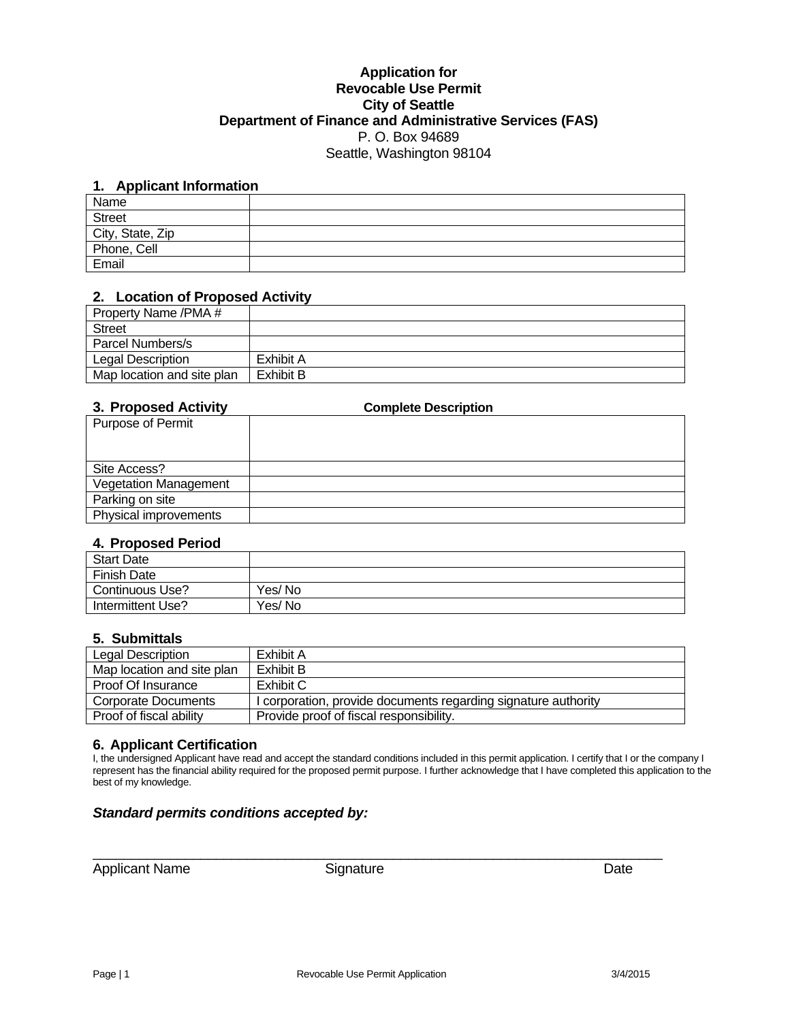### **Application for Revocable Use Permit City of Seattle Department of Finance and Administrative Services (FAS)**  P. O. Box 94689 Seattle, Washington 98104

# **1. Applicant Information**

| ______<br>Name   |  |
|------------------|--|
| <b>Street</b>    |  |
| City, State, Zip |  |
| Phone, Cell      |  |
| Email            |  |

#### **2. Location of Proposed Activity**

| Property Name /PMA #       |           |
|----------------------------|-----------|
| <b>Street</b>              |           |
| Parcel Numbers/s           |           |
| Legal Description          | Exhibit A |
| Map location and site plan | Exhibit B |

## **3. Proposed Activity Complete Description**

| <b>J. FIULUSEU AULIVILY</b>  | <b>COMPLETE DESCRIPTION</b> |
|------------------------------|-----------------------------|
| Purpose of Permit            |                             |
|                              |                             |
| Site Access?                 |                             |
| <b>Vegetation Management</b> |                             |
| Parking on site              |                             |
| Physical improvements        |                             |

#### **4. Proposed Period**

| <b>Start Date</b>  |         |
|--------------------|---------|
| <b>Finish Date</b> |         |
| Continuous Use?    | Yes/No  |
| Intermittent Use?  | Yes/ No |

#### **5. Submittals**

| Legal Description          | Exhibit A                                                      |
|----------------------------|----------------------------------------------------------------|
| Map location and site plan | Exhibit B                                                      |
| Proof Of Insurance         | Exhibit C                                                      |
| Corporate Documents        | I corporation, provide documents regarding signature authority |
| Proof of fiscal ability    | Provide proof of fiscal responsibility.                        |

#### **6. Applicant Certification**

I, the undersigned Applicant have read and accept the standard conditions included in this permit application. I certify that I or the company I represent has the financial ability required for the proposed permit purpose. I further acknowledge that I have completed this application to the best of my knowledge.

### *Standard permits conditions accepted by:*

Applicant Name Signature Signature Date

 $\_$  , and the set of the set of the set of the set of the set of the set of the set of the set of the set of the set of the set of the set of the set of the set of the set of the set of the set of the set of the set of th